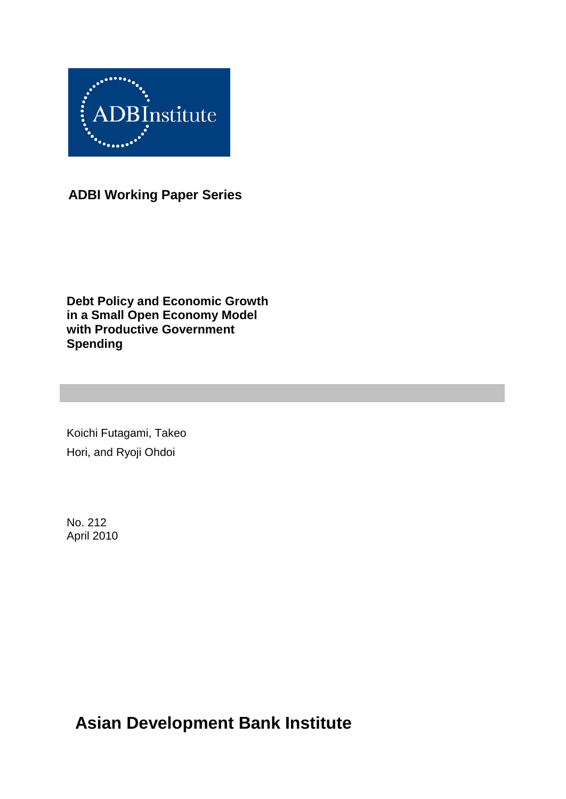

**ADBI Working Paper Series**

**Debt Policy and Economic Growth in a Small Open Economy Model with Productive Government Spending**

Koichi Futagami, Takeo Hori, and Ryoji Ohdoi

No. 212 April 2010

**Asian Development Bank Institute**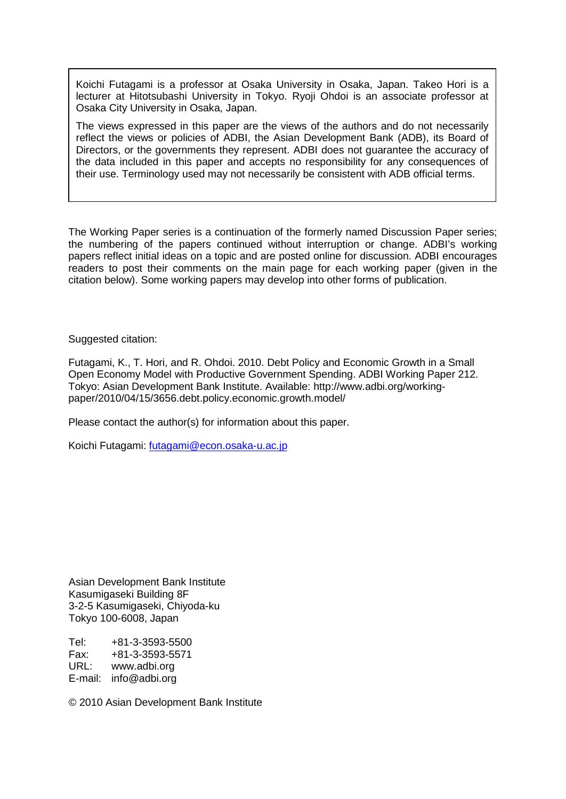Koichi Futagami is a professor at Osaka University in Osaka, Japan. Takeo Hori is a lecturer at Hitotsubashi University in Tokyo. Ryoji Ohdoi is an associate professor at Osaka City University in Osaka, Japan.

The views expressed in this paper are the views of the authors and do not necessarily reflect the views or policies of ADBI, the Asian Development Bank (ADB), its Board of Directors, or the governments they represent. ADBI does not guarantee the accuracy of the data included in this paper and accepts no responsibility for any consequences of their use. Terminology used may not necessarily be consistent with ADB official terms.

The Working Paper series is a continuation of the formerly named Discussion Paper series; the numbering of the papers continued without interruption or change. ADBI's working papers reflect initial ideas on a topic and are posted online for discussion. ADBI encourages readers to post their comments on the main page for each working paper (given in the citation below). Some working papers may develop into other forms of publication.

Suggested citation:

Futagami, K., T. Hori, and R. Ohdoi. 2010. Debt Policy and Economic Growth in a Small Open Economy Model with Productive Government Spending. ADBI Working Paper 212. Tokyo: Asian Development Bank Institute. Available: http://www.adbi.org/workingpaper/2010/04/15/3656.debt.policy.economic.growth.model/

Please contact the author(s) for information about this paper.

Koichi Futagami: [futagami@econ.osaka-u.ac.jp](mailto:futagami@econ.osaka-u.ac.jp)

Asian Development Bank Institute Kasumigaseki Building 8F 3-2-5 Kasumigaseki, Chiyoda-ku Tokyo 100-6008, Japan

Tel: +81-3-3593-5500 Fax: +81-3-3593-5571 www.adbi.org E-mail: info@adbi.org

© 2010 Asian Development Bank Institute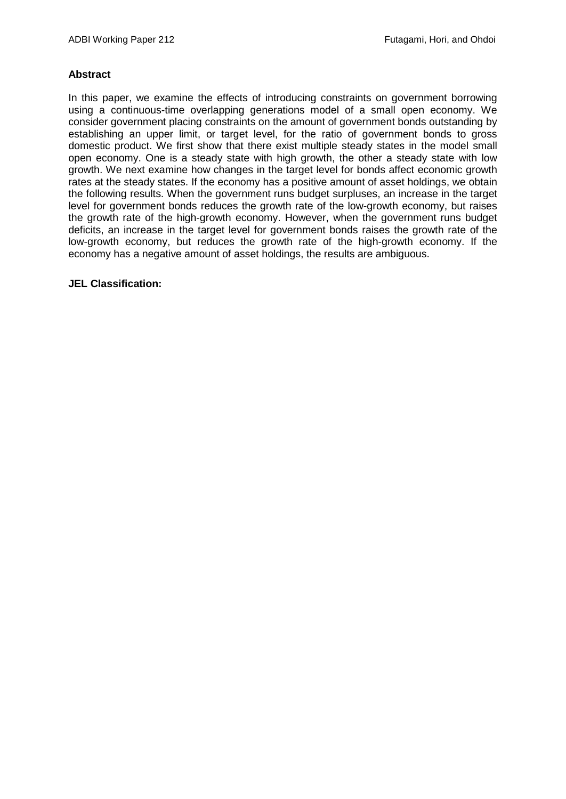#### **Abstract**

In this paper, we examine the effects of introducing constraints on government borrowing using a continuous-time overlapping generations model of a small open economy. We consider government placing constraints on the amount of government bonds outstanding by establishing an upper limit, or target level, for the ratio of government bonds to gross domestic product. We first show that there exist multiple steady states in the model small open economy. One is a steady state with high growth, the other a steady state with low growth. We next examine how changes in the target level for bonds affect economic growth rates at the steady states. If the economy has a positive amount of asset holdings, we obtain the following results. When the government runs budget surpluses, an increase in the target level for government bonds reduces the growth rate of the low-growth economy, but raises the growth rate of the high-growth economy. However, when the government runs budget deficits, an increase in the target level for government bonds raises the growth rate of the low-growth economy, but reduces the growth rate of the high-growth economy. If the economy has a negative amount of asset holdings, the results are ambiguous.

#### **JEL Classification:**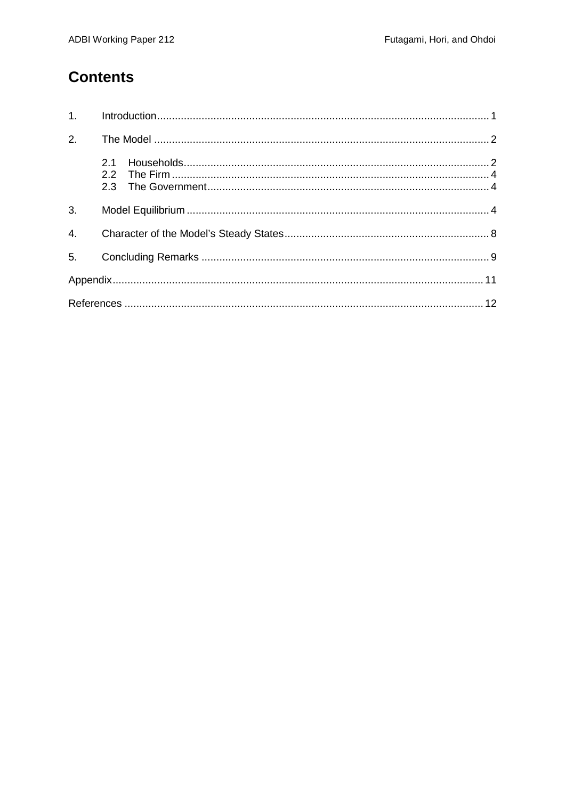### **Contents**

| 2. |     |  |
|----|-----|--|
|    | 2.1 |  |
| 3. |     |  |
|    |     |  |
|    |     |  |
|    |     |  |
|    |     |  |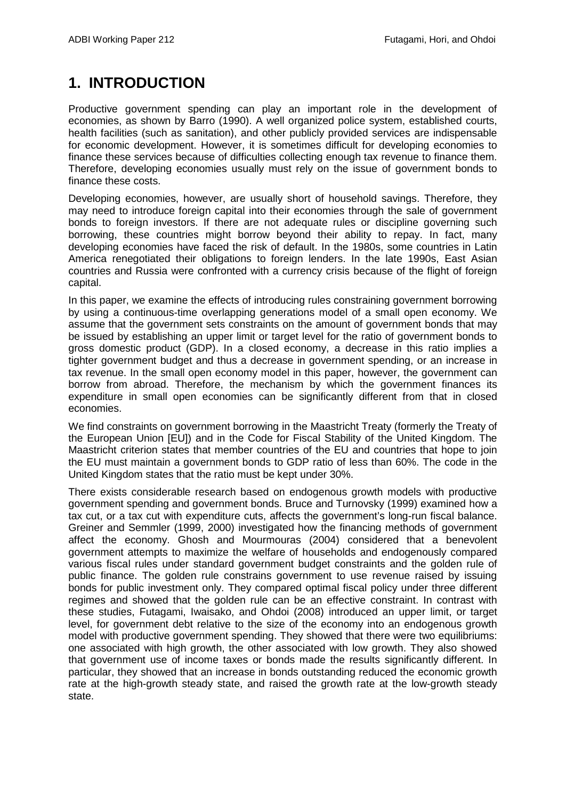# <span id="page-4-0"></span>**1. INTRODUCTION**

Productive government spending can play an important role in the development of economies, as shown by Barro (1990). A well organized police system, established courts, health facilities (such as sanitation), and other publicly provided services are indispensable for economic development. However, it is sometimes difficult for developing economies to finance these services because of difficulties collecting enough tax revenue to finance them. Therefore, developing economies usually must rely on the issue of government bonds to finance these costs.

Developing economies, however, are usually short of household savings. Therefore, they may need to introduce foreign capital into their economies through the sale of government bonds to foreign investors. If there are not adequate rules or discipline governing such borrowing, these countries might borrow beyond their ability to repay. In fact, many developing economies have faced the risk of default. In the 1980s, some countries in Latin America renegotiated their obligations to foreign lenders. In the late 1990s, East Asian countries and Russia were confronted with a currency crisis because of the flight of foreign capital.

In this paper, we examine the effects of introducing rules constraining government borrowing by using a continuous-time overlapping generations model of a small open economy. We assume that the government sets constraints on the amount of government bonds that may be issued by establishing an upper limit or target level for the ratio of government bonds to gross domestic product (GDP). In a closed economy, a decrease in this ratio implies a tighter government budget and thus a decrease in government spending, or an increase in tax revenue. In the small open economy model in this paper, however, the government can borrow from abroad. Therefore, the mechanism by which the government finances its expenditure in small open economies can be significantly different from that in closed economies.

We find constraints on government borrowing in the Maastricht Treaty (formerly the Treaty of the European Union [EU]) and in the Code for Fiscal Stability of the United Kingdom. The Maastricht criterion states that member countries of the EU and countries that hope to join the EU must maintain a government bonds to GDP ratio of less than 60%. The code in the United Kingdom states that the ratio must be kept under 30%.

There exists considerable research based on endogenous growth models with productive government spending and government bonds. Bruce and Turnovsky (1999) examined how a tax cut, or a tax cut with expenditure cuts, affects the government's long-run fiscal balance. Greiner and Semmler (1999, 2000) investigated how the financing methods of government affect the economy. Ghosh and Mourmouras (2004) considered that a benevolent government attempts to maximize the welfare of households and endogenously compared various fiscal rules under standard government budget constraints and the golden rule of public finance. The golden rule constrains government to use revenue raised by issuing bonds for public investment only. They compared optimal fiscal policy under three different regimes and showed that the golden rule can be an effective constraint. In contrast with these studies, Futagami, Iwaisako, and Ohdoi (2008) introduced an upper limit, or target level, for government debt relative to the size of the economy into an endogenous growth model with productive government spending. They showed that there were two equilibriums: one associated with high growth, the other associated with low growth. They also showed that government use of income taxes or bonds made the results significantly different. In particular, they showed that an increase in bonds outstanding reduced the economic growth rate at the high-growth steady state, and raised the growth rate at the low-growth steady state.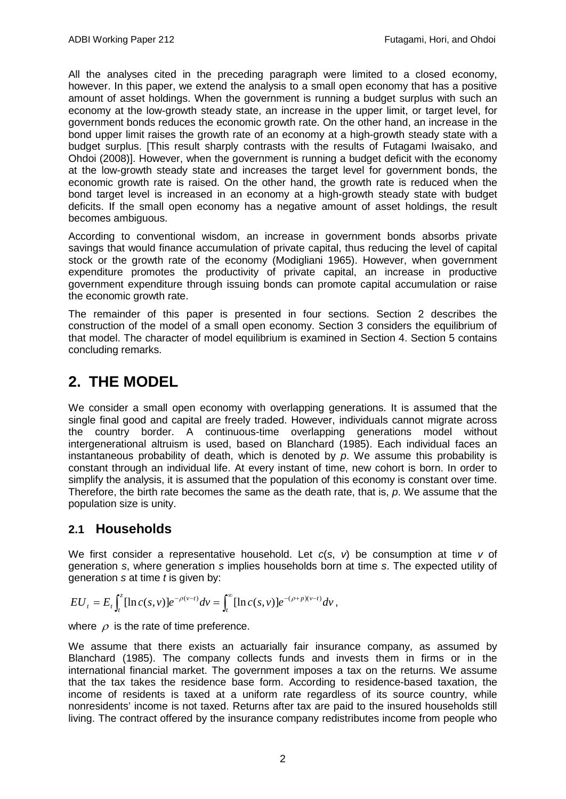All the analyses cited in the preceding paragraph were limited to a closed economy, however. In this paper, we extend the analysis to a small open economy that has a positive amount of asset holdings. When the government is running a budget surplus with such an economy at the low-growth steady state, an increase in the upper limit, or target level, for government bonds reduces the economic growth rate. On the other hand, an increase in the bond upper limit raises the growth rate of an economy at a high-growth steady state with a budget surplus. [This result sharply contrasts with the results of Futagami Iwaisako, and Ohdoi (2008)]. However, when the government is running a budget deficit with the economy at the low-growth steady state and increases the target level for government bonds, the economic growth rate is raised. On the other hand, the growth rate is reduced when the bond target level is increased in an economy at a high-growth steady state with budget deficits. If the small open economy has a negative amount of asset holdings, the result becomes ambiguous.

According to conventional wisdom, an increase in government bonds absorbs private savings that would finance accumulation of private capital, thus reducing the level of capital stock or the growth rate of the economy (Modigliani 1965). However, when government expenditure promotes the productivity of private capital, an increase in productive government expenditure through issuing bonds can promote capital accumulation or raise the economic growth rate.

The remainder of this paper is presented in four sections. Section 2 describes the construction of the model of a small open economy. Section 3 considers the equilibrium of that model. The character of model equilibrium is examined in Section 4. Section 5 contains concluding remarks.

## <span id="page-5-0"></span>**2. THE MODEL**

We consider a small open economy with overlapping generations. It is assumed that the single final good and capital are freely traded. However, individuals cannot migrate across the country border. A continuous-time overlapping generations model without intergenerational altruism is used, based on Blanchard (1985). Each individual faces an instantaneous probability of death, which is denoted by *p*. We assume this probability is constant through an individual life. At every instant of time, new cohort is born. In order to simplify the analysis, it is assumed that the population of this economy is constant over time. Therefore, the birth rate becomes the same as the death rate, that is, *p*. We assume that the population size is unity.

### <span id="page-5-1"></span>**2.1 Households**

We first consider a representative household. Let *c*(*s*, *v*) be consumption at time *v* of generation *s*, where generation *s* implies households born at time *s*. The expected utility of generation *s* at time *t* is given by:

$$
EU_t = E_t \int_t^z [\ln c(s,v)] e^{-\rho(v-t)} dv = \int_t^{\infty} [\ln c(s,v)] e^{-(\rho+p)(v-t)} dv,
$$

where  $\rho$  is the rate of time preference.

We assume that there exists an actuarially fair insurance company, as assumed by Blanchard (1985). The company collects funds and invests them in firms or in the international financial market. The government imposes a tax on the returns. We assume that the tax takes the residence base form. According to residence-based taxation, the income of residents is taxed at a uniform rate regardless of its source country, while nonresidents' income is not taxed. Returns after tax are paid to the insured households still living. The contract offered by the insurance company redistributes income from people who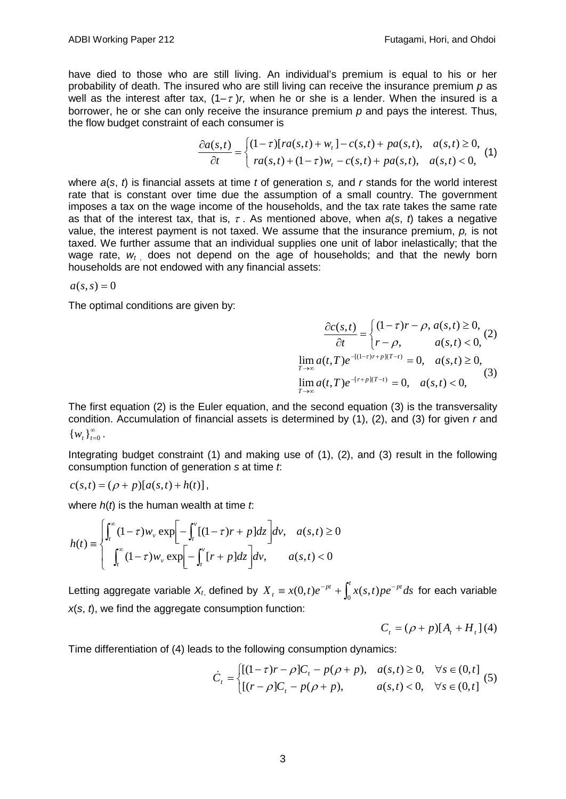have died to those who are still living. An individual's premium is equal to his or her probability of death. The insured who are still living can receive the insurance premium *p* as well as the interest after tax,  $(1-\tau)r$ , when he or she is a lender. When the insured is a borrower, he or she can only receive the insurance premium *p* and pays the interest. Thus, the flow budget constraint of each consumer is

$$
\frac{\partial a(s,t)}{\partial t} = \begin{cases} (1-\tau)[ra(s,t) + w_t] - c(s,t) + pa(s,t), & a(s,t) \ge 0, \\ ra(s,t) + (1-\tau)w_t - c(s,t) + pa(s,t), & a(s,t) < 0, \end{cases}
$$
(1)

where *a*(*s*, *t*) is financial assets at time *t* of generation *s,* and *r* stands for the world interest rate that is constant over time due the assumption of a small country. The government imposes a tax on the wage income of the households, and the tax rate takes the same rate as that of the interest tax, that is, <sup>τ</sup> . As mentioned above, when *a*(*s*, *t*) takes a negative value, the interest payment is not taxed. We assume that the insurance premium, *p,* is not taxed. We further assume that an individual supplies one unit of labor inelastically; that the wage rate,  $w_t$  does not depend on the age of households; and that the newly born households are not endowed with any financial assets:

 $a(s, s) = 0$ 

The optimal conditions are given by:

 $\overline{\mathcal{L}}$ ⇃  $\int$  $\frac{\partial c(s,t)}{\partial t} = \begin{cases} (1-\tau)r - \rho, a(s,t) \ge \\ r - \rho, & a(s,t) < \end{cases}$  $, \t a(s,t) < 0,$  $(s,t) \quad (1-\tau)r - \rho, a(s,t) \geq 0,$  $r - \rho$ ,  $a(s,t)$  $r - \rho$ ,  $a(s,t)$ *t*  $c(s,t)$ ρ  $\tau$ ) $r - \rho$ ,  $a(s,t) \geq 0$ , (2)  $\lim_{t \to \infty} a(t,T) e^{-[r+p](T-t)} = 0, \quad a(s,t) < 0,$  $\lim_{t \to \infty} a(t,T) e^{-[(1-\tau)r+p](T-t)} = 0, \quad a(s,t) \ge 0,$  $\lim_{x \to \infty} a(t,T) e^{-[r+p](T-t)} = 0, \quad a(s,t)$  $\lim_{x \to \infty} a(t,T) e^{-[(1-\tau)r+p](T-t)} = 0, \quad a(s,t)$ *T T* τ (3)

The first equation (2) is the Euler equation, and the second equation (3) is the transversality condition. Accumulation of financial assets is determined by (1), (2), and (3) for given *r* and  $\{w_t\}_{t=0}^{\infty}$ .

Integrating budget constraint (1) and making use of (1), (2), and (3) result in the following consumption function of generation *s* at time *t*:

$$
c(s,t) = (\rho + p)[a(s,t) + h(t)],
$$

where *h*(*t*) is the human wealth at time *t*:

$$
h(t) = \begin{cases} \int_t^{\infty} (1-\tau) w_v \exp\left[-\int_t^v [(1-\tau)r + p] dz\right] dv, & a(s,t) \ge 0\\ \int_t^{\infty} (1-\tau) w_v \exp\left[-\int_t^v [r + p] dz\right] dv, & a(s,t) < 0 \end{cases}
$$

Letting aggregate variable  $X_t$ , defined by  $X_t \equiv x(0,t)e^{-pt} + \int_0^t x(s,t)pe^{-pt}ds$  $\equiv x(0,t)e^{-pt} + \int_0^t x(s,t)pe^{-pt}ds$  for each variable *x*(*s*, *t*), we find the aggregate consumption function:

$$
C_t = (\rho + p)[A_t + H_t](4)
$$

Time differentiation of (4) leads to the following consumption dynamics:

$$
\dot{C}_t = \begin{cases} [(1-\tau)r - \rho]C_t - p(\rho + p), & a(s,t) \ge 0, \quad \forall s \in (0, t] \\ [(r - \rho]C_t - p(\rho + p), & a(s,t) < 0, \quad \forall s \in (0, t] \end{cases}
$$
 (5)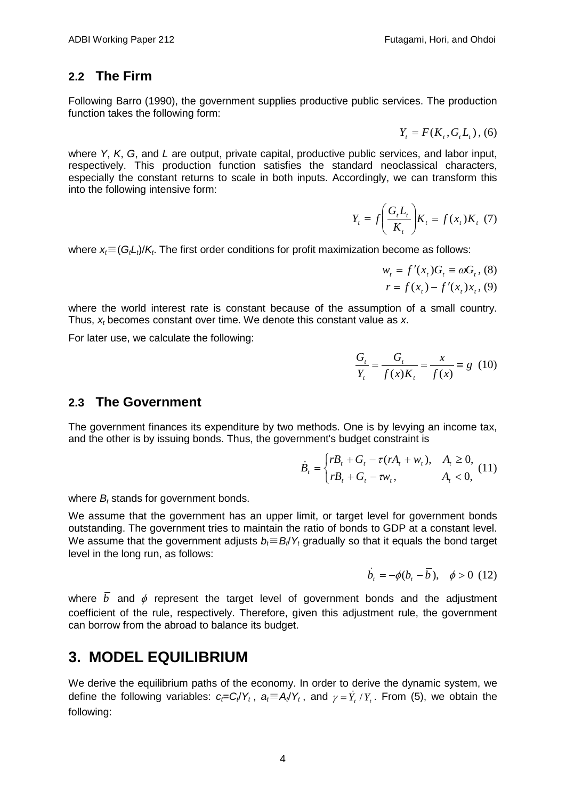### <span id="page-7-0"></span>**2.2 The Firm**

Following Barro (1990), the government supplies productive public services. The production function takes the following form:

$$
Y_{t} = F(K_{t}, G_{t}L_{t}), (6)
$$

where *Y*, *K*, *G*, and *L* are output, private capital, productive public services, and labor input, respectively. This production function satisfies the standard neoclassical characters, especially the constant returns to scale in both inputs. Accordingly, we can transform this into the following intensive form:

$$
Y_t = f\left(\frac{G_t L_t}{K_t}\right) K_t = f(x_t) K_t \tag{7}
$$

where *x<sub>i</sub>*≡(*G<sub>t</sub>L<sub>t</sub>*)/*K<sub>t</sub>*. The first order conditions for profit maximization become as follows:

$$
w_{t} = f'(x_{t})G_{t} \equiv \omega G_{t}, (8)
$$
  

$$
r = f(x_{t}) - f'(x_{t})x_{t}, (9)
$$

where the world interest rate is constant because of the assumption of a small country. Thus, *xt* becomes constant over time. We denote this constant value as *x*.

For later use, we calculate the following:

$$
\frac{G_t}{Y_t} = \frac{G_t}{f(x)K_t} = \frac{x}{f(x)} \equiv g \ (10)
$$

### <span id="page-7-1"></span>**2.3 The Government**

The government finances its expenditure by two methods. One is by levying an income tax, and the other is by issuing bonds. Thus, the government's budget constraint is

$$
\dot{B}_t = \begin{cases} rB_t + G_t - \tau (rA_t + w_t), & A_t \ge 0, \\ rB_t + G_t - \tau w_t, & A_t < 0, \end{cases}
$$
 (11)

where *B<sub>t</sub>* stands for government bonds.

We assume that the government has an upper limit, or target level for government bonds outstanding. The government tries to maintain the ratio of bonds to GDP at a constant level. We assume that the government adjusts *b<sub>i</sub>*≡*B<sub>i</sub>*/*Y<sub>t</sub>* gradually so that it equals the bond target level in the long run, as follows:

$$
\dot{b}_t = -\phi(b_t - \overline{b}), \quad \phi > 0 \ (12)
$$

where  $\overline{b}$  and  $\phi$  represent the target level of government bonds and the adjustment coefficient of the rule, respectively. Therefore, given this adjustment rule, the government can borrow from the abroad to balance its budget.

### <span id="page-7-2"></span>**3. MODEL EQUILIBRIUM**

We derive the equilibrium paths of the economy. In order to derive the dynamic system, we define the following variables:  $c_f = C_f/Y_t$ ,  $a_f = A_f/Y_t$ , and  $\gamma = Y_t/Y_t$ . From (5), we obtain the following: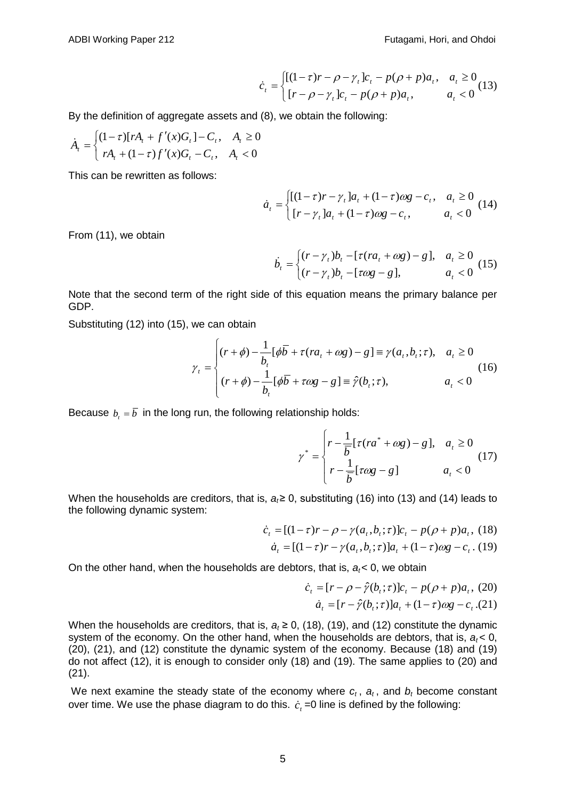$$
\dot{c}_t = \begin{cases} [(1-\tau)r - \rho - \gamma_t]c_t - p(\rho + p)a_t, & a_t \ge 0\\ [r - \rho - \gamma_t]c_t - p(\rho + p)a_t, & a_t < 0 \end{cases}
$$
(13)

By the definition of aggregate assets and (8), we obtain the following:

$$
\dot{A}_t = \begin{cases} (1-\tau)[rA_t + f'(x)G_t] - C_t, & A_t \ge 0\\ rA_t + (1-\tau)f'(x)G_t - C_t, & A_t < 0 \end{cases}
$$

This can be rewritten as follows:

$$
\dot{a}_t = \begin{cases} [(1-\tau)r - \gamma_t]a_t + (1-\tau)\omega g - c_t, & a_t \ge 0\\ [r - \gamma_t]a_t + (1-\tau)\omega g - c_t, & a_t < 0 \end{cases}
$$
(14)

From (11), we obtain

$$
\dot{b}_t = \begin{cases} (r - \gamma_t)b_t - [\tau(r a_t + \omega g) - g], & a_t \ge 0\\ (r - \gamma_t)b_t - [\tau \omega g - g], & a_t < 0 \end{cases}
$$
 (15)

Note that the second term of the right side of this equation means the primary balance per GDP.

Substituting (12) into (15), we can obtain

$$
\gamma_t = \begin{cases}\n(r+\phi) - \frac{1}{b_t} [\phi \overline{b} + \tau (ra_t + \omega g) - g] \equiv \gamma(a_t, b_t; \tau), & a_t \ge 0 \\
(r+\phi) - \frac{1}{b_t} [\phi \overline{b} + \tau \omega g - g] \equiv \hat{\gamma}(b_t; \tau), & a_t < 0\n\end{cases}
$$
\n(16)

Because  $b_t = \overline{b}$  in the long run, the following relationship holds:

$$
\gamma^* = \begin{cases} r - \frac{1}{\overline{b}} [\tau (ra^* + \omega g) - g], & a_t \ge 0 \\ r - \frac{1}{\overline{b}} [\tau \omega g - g] & a_t < 0 \end{cases}
$$
 (17)

When the households are creditors, that is,  $a<sub>i</sub> ≥ 0$ , substituting (16) into (13) and (14) leads to the following dynamic system:

$$
\dot{c}_t = [(1-\tau)r - \rho - \gamma(a_t, b_t; \tau)]c_t - p(\rho + p)a_t, (18)
$$

$$
\dot{a}_t = [(1-\tau)r - \gamma(a_t, b_t; \tau)]a_t + (1-\tau)\omega g - c_t. (19)
$$

On the other hand, when the households are debtors, that is, *at*< 0, we obtain

$$
\dot{c}_t = [r - \rho - \hat{r}(b_t; \tau)]c_t - p(\rho + p)a_t, (20)
$$
  

$$
\dot{a}_t = [r - \hat{r}(b_t; \tau)]a_t + (1 - \tau)\omega g - c_t.(21)
$$

When the households are creditors, that is,  $a_t \ge 0$ , (18), (19), and (12) constitute the dynamic system of the economy. On the other hand, when the households are debtors, that is,  $a_t < 0$ , (20), (21), and (12) constitute the dynamic system of the economy. Because (18) and (19) do not affect (12), it is enough to consider only (18) and (19). The same applies to (20) and (21).

We next examine the steady state of the economy where  $c_t$ ,  $a_t$ , and  $b_t$  become constant over time. We use the phase diagram to do this.  $\dot{c}$  =0 line is defined by the following: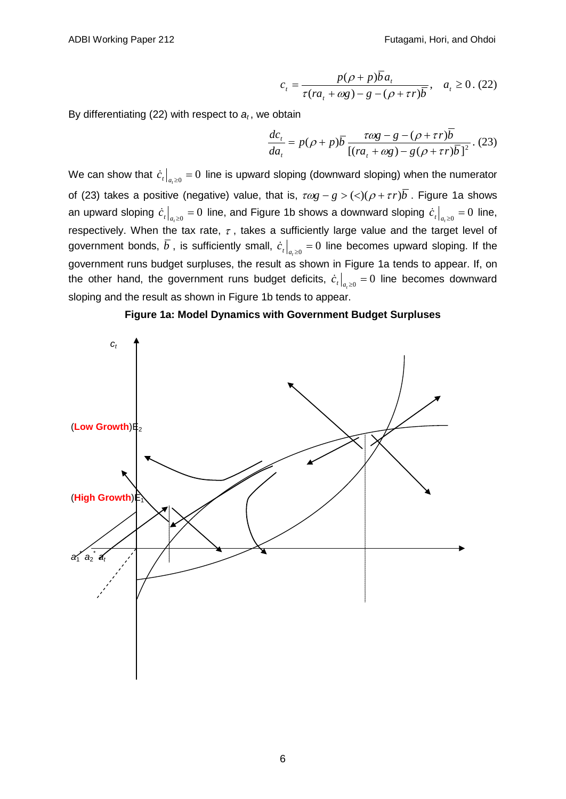$$
c_t = \frac{p(\rho + p)\overline{b}a_t}{\tau (ra_t + \omega g) - g - (\rho + \tau r)\overline{b}}, \quad a_t \ge 0. \tag{22}
$$

By differentiating  $(22)$  with respect to  $a_t$ , we obtain

$$
\frac{dc_{t}}{da_{t}} = p(\rho + p)\overline{b} \frac{\tau \omega g - g - (\rho + \tau r)\overline{b}}{[(ra_{t} + \omega g) - g(\rho + \tau r)\overline{b}]^{2}}.\tag{23}
$$

We can show that  $\dot{c}_t|_{a\geq 0} = 0$  line is upward sloping (downward sloping) when the numerator of (23) takes a positive (negative) value, that is,  $\tau \omega g - g > (<)(\rho + \tau r) \overline{b}$ . Figure 1a shows an upward sloping  $\dot{c}_t \big|_{a, \geq 0} = 0$  line, and Figure 1b shows a downward sloping  $\dot{c}_t \big|_{a, \geq 0} = 0$  line, respectively. When the tax rate,  $\tau$ , takes a sufficiently large value and the target level of government bonds,  $\overline{b}$ , is sufficiently small,  $\dot{c}_t|_{a,\geq 0} = 0$  line becomes upward sloping. If the government runs budget surpluses, the result as shown in Figure 1a tends to appear. If, on the other hand, the government runs budget deficits,  $\dot{c}_t\big|_{a,\geq 0} = 0$  line becomes downward sloping and the result as shown in Figure 1b tends to appear.



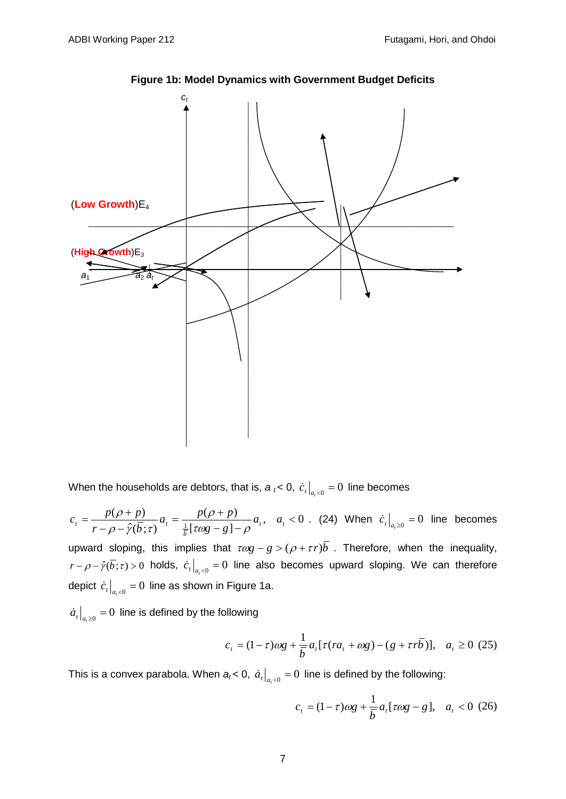

**Figure 1b: Model Dynamics with Government Budget Deficits**

When the households are debtors, that is,  $a_t < 0$ ,  $c_t|_{a_t < 0} = 0$  line becomes

$$
c_t = \frac{p(\rho + p)}{r - \rho - \hat{\gamma}(\overline{b}; \tau)} a_t = \frac{p(\rho + p)}{\frac{1}{\hat{b}}[\tau \omega g - g] - \rho} a_t, \quad a_t < 0
$$
. (24) When  $\dot{c}_t|_{a_t \ge 0} = 0$  line becomes

upward sloping, this implies that  $\tau \omega g - g > (\rho + \tau r) b$ . Therefore, when the inequality,  $r - \rho - \hat{\gamma}(\overline{b}; \tau) > 0$  holds,  $\dot{c}_t|_{a_t < 0} = 0$  line also becomes upward sloping. We can therefore depict  $\dot{c}_t \Big|_{a \leq 0} = 0$  line as shown in Figure 1a.

 $\left. \dot{a}_{t} \right|_{a \geq 0} = 0$  line is defined by the following

$$
c_{t} = (1 - \tau)\omega g + \frac{1}{b}a_{t}[\tau (ra_{t} + \omega g) - (g + \tau r\overline{b})], \quad a_{t} \ge 0 \tag{25}
$$

This is a convex parabola. When  $a_t < 0$ ,  $a_t \big|_{a_t < 0} = 0$  line is defined by the following:

$$
c_{t} = (1 - \tau)\omega g + \frac{1}{b}a_{t}[\tau \omega g - g], \quad a_{t} < 0 \tag{26}
$$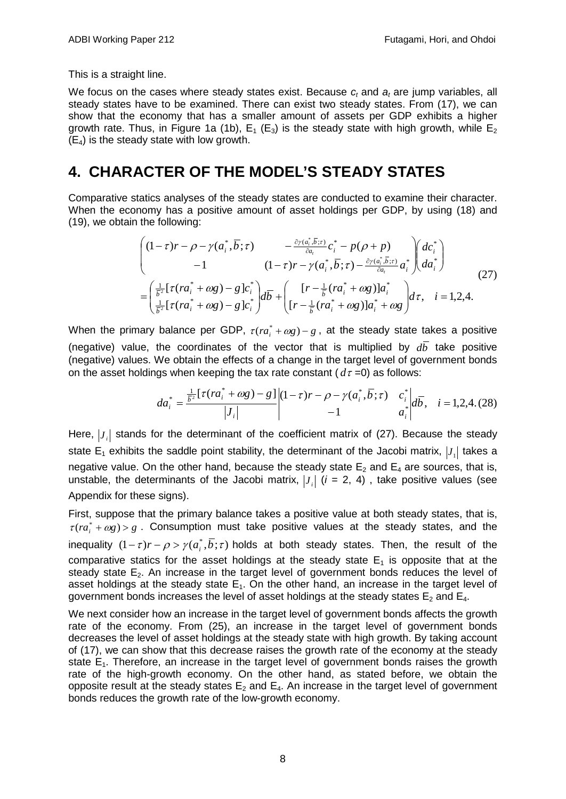This is a straight line.

We focus on the cases where steady states exist. Because  $c_t$  and  $a_t$  are jump variables, all steady states have to be examined. There can exist two steady states. From (17), we can show that the economy that has a smaller amount of assets per GDP exhibits a higher growth rate. Thus, in Figure 1a (1b),  $E_1$  ( $E_3$ ) is the steady state with high growth, while  $E_2$  $(E_4)$  is the steady state with low growth.

### <span id="page-11-0"></span>**4. CHARACTER OF THE MODEL'S STEADY STATES**

Comparative statics analyses of the steady states are conducted to examine their character. When the economy has a positive amount of asset holdings per GDP, by using (18) and (19), we obtain the following:

$$
\begin{pmatrix}\n(1-\tau)r - \rho - \gamma(a_i^*, \overline{b}; \tau) & -\frac{\partial \gamma(a_i^*, \overline{b}; \tau)}{\partial a_i} c_i^* - p(\rho + p) \\
-1 & (1-\tau)r - \gamma(a_i^*, \overline{b}; \tau) - \frac{\partial \gamma(a_i^*, \overline{b}; \tau)}{\partial a_i} a_i^*\n\end{pmatrix}\n\begin{pmatrix}\ndc_i^* \\
da_i^*\n\end{pmatrix}
$$
\n
$$
= \left(\frac{\frac{1}{b^2} [\tau(r a_i^* + \omega g) - g] c_i^*}{\frac{1}{b^2} [\tau(r a_i^* + \omega g) - g] c_i^*\n\end{pmatrix}\n\begin{pmatrix}\n[r - \frac{1}{b} (r a_i^* + \omega g)] a_i^* \\
[r - \frac{1}{b} (r a_i^* + \omega g)] a_i^* + \omega g\n\end{pmatrix}\n\begin{pmatrix}\nd\tau, & i = 1, 2, 4.\n\end{pmatrix}
$$
\n(27)

When the primary balance per GDP,  $\tau (ra^* + \omega g) - g$ , at the steady state takes a positive (negative) value, the coordinates of the vector that is multiplied by  $d\bar{b}$  take positive (negative) values. We obtain the effects of a change in the target level of government bonds on the asset holdings when keeping the tax rate constant  $(d\tau = 0)$  as follows:

$$
da_i^* = \frac{\frac{1}{b^2} [\tau (ra_i^* + \omega g) - g]}{|J_i|} \begin{vmatrix} (1 - \tau) r - \rho - \gamma (a_i^*, \overline{b}; \tau) & c_i^*| d\overline{b}, & i = 1, 2, 4. (28) \\ -1 & a_i^*| d\overline{b}, & i = 1, 2, 4. (28) \end{vmatrix}
$$

Here,  $|J|$  stands for the determinant of the coefficient matrix of (27). Because the steady state  $E_1$  exhibits the saddle point stability, the determinant of the Jacobi matrix,  $|J_1|$  takes a negative value. On the other hand, because the steady state  $E_2$  and  $E_4$  are sources, that is, unstable, the determinants of the Jacobi matrix,  $|J_i|$  ( $i = 2, 4$ ), take positive values (see Appendix for these signs).

First, suppose that the primary balance takes a positive value at both steady states, that is,  $\tau (ra^* + \omega g) > g$ . Consumption must take positive values at the steady states, and the inequality  $(1 - \tau)r - \rho > \gamma(a_i, b, \tau)$  holds at both steady states. Then, the result of the comparative statics for the asset holdings at the steady state  $E_1$  is opposite that at the steady state  $E_2$ . An increase in the target level of government bonds reduces the level of asset holdings at the steady state  $E_1$ . On the other hand, an increase in the target level of government bonds increases the level of asset holdings at the steady states  $E_2$  and  $E_4$ .

We next consider how an increase in the target level of government bonds affects the growth rate of the economy. From (25), an increase in the target level of government bonds decreases the level of asset holdings at the steady state with high growth. By taking account of (17), we can show that this decrease raises the growth rate of the economy at the steady state  $E_1$ . Therefore, an increase in the target level of government bonds raises the growth rate of the high-growth economy. On the other hand, as stated before, we obtain the opposite result at the steady states  $E_2$  and  $E_4$ . An increase in the target level of government bonds reduces the growth rate of the low-growth economy.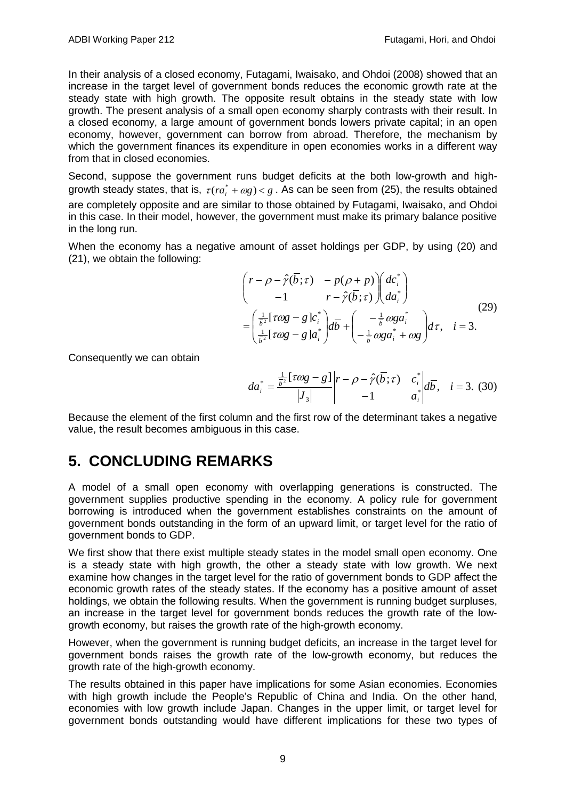In their analysis of a closed economy, Futagami, Iwaisako, and Ohdoi (2008) showed that an increase in the target level of government bonds reduces the economic growth rate at the steady state with high growth. The opposite result obtains in the steady state with low growth. The present analysis of a small open economy sharply contrasts with their result. In a closed economy, a large amount of government bonds lowers private capital; in an open economy, however, government can borrow from abroad. Therefore, the mechanism by which the government finances its expenditure in open economies works in a different way from that in closed economies.

Second, suppose the government runs budget deficits at the both low-growth and highgrowth steady states, that is,  $\tau (ra_i^* + \omega g) < g$ . As can be seen from (25), the results obtained are completely opposite and are similar to those obtained by Futagami, Iwaisako, and Ohdoi in this case. In their model, however, the government must make its primary balance positive in the long run.

When the economy has a negative amount of asset holdings per GDP, by using (20) and (21), we obtain the following:

$$
\begin{aligned}\n\begin{pmatrix}\nr - \rho - \hat{\gamma}(\overline{b}; \tau) & -p(\rho + p) \ d c_i^* \\
-1 & r - \hat{\gamma}(\overline{b}; \tau) \end{pmatrix} d a_i^*\n\end{aligned}
$$
\n
$$
= \left(\frac{\frac{1}{\overline{b}^2} [\tau \omega g - g] c_i^*}{\frac{1}{\overline{b}^2} [\tau \omega g - g] a_i^*} \right) d \overline{b} + \left(\frac{-\frac{1}{\overline{b}} \omega g a_i^*}{-\frac{1}{\overline{b}} \omega g a_i^* + \omega g} \right) d \tau, \quad i = 3.
$$
\n(29)

Consequently we can obtain

$$
da_i^* = \frac{\frac{1}{b^2} [\tau \omega g - g]}{|J_3|} \bigg| r - \rho - \hat{r}(\overline{b}; \tau) \begin{array}{cc} c_i^* \\ c_i^* \\ -1 \end{array} \bigg| d\overline{b}, \quad i = 3. \tag{30}
$$

Because the element of the first column and the first row of the determinant takes a negative value, the result becomes ambiguous in this case.

### <span id="page-12-0"></span>**5. CONCLUDING REMARKS**

A model of a small open economy with overlapping generations is constructed. The government supplies productive spending in the economy. A policy rule for government borrowing is introduced when the government establishes constraints on the amount of government bonds outstanding in the form of an upward limit, or target level for the ratio of government bonds to GDP.

We first show that there exist multiple steady states in the model small open economy. One is a steady state with high growth, the other a steady state with low growth. We next examine how changes in the target level for the ratio of government bonds to GDP affect the economic growth rates of the steady states. If the economy has a positive amount of asset holdings, we obtain the following results. When the government is running budget surpluses, an increase in the target level for government bonds reduces the growth rate of the lowgrowth economy, but raises the growth rate of the high-growth economy.

However, when the government is running budget deficits, an increase in the target level for government bonds raises the growth rate of the low-growth economy, but reduces the growth rate of the high-growth economy.

The results obtained in this paper have implications for some Asian economies. Economies with high growth include the People's Republic of China and India. On the other hand, economies with low growth include Japan. Changes in the upper limit, or target level for government bonds outstanding would have different implications for these two types of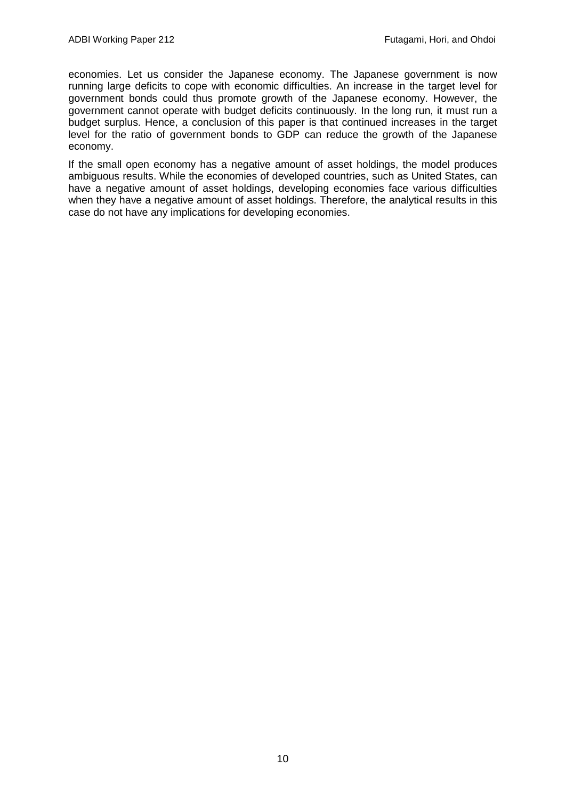economies. Let us consider the Japanese economy. The Japanese government is now running large deficits to cope with economic difficulties. An increase in the target level for government bonds could thus promote growth of the Japanese economy. However, the government cannot operate with budget deficits continuously. In the long run, it must run a budget surplus. Hence, a conclusion of this paper is that continued increases in the target level for the ratio of government bonds to GDP can reduce the growth of the Japanese economy.

If the small open economy has a negative amount of asset holdings, the model produces ambiguous results. While the economies of developed countries, such as United States, can have a negative amount of asset holdings, developing economies face various difficulties when they have a negative amount of asset holdings. Therefore, the analytical results in this case do not have any implications for developing economies.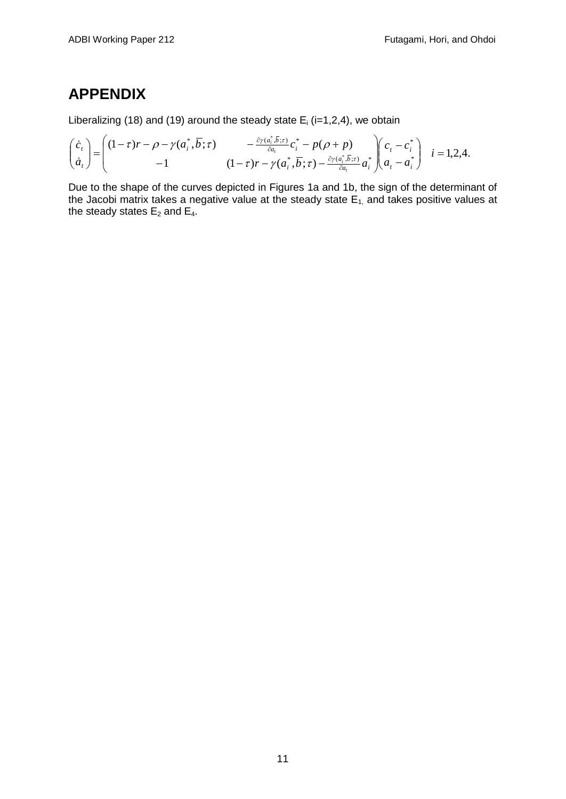# <span id="page-14-0"></span>**APPENDIX**

Liberalizing (18) and (19) around the steady state  $E_i$  (i=1,2,4), we obtain

$$
\begin{pmatrix}\n\dot{c}_t \\
\dot{a}_t\n\end{pmatrix} = \begin{pmatrix}\n(1-\tau)r - \rho - \gamma(a_i^*,\overline{b};\tau) & -\frac{\partial \gamma(a_i^*,\overline{b};\tau)}{\partial a_t}c_i^* - p(\rho + p) \\
-1 & (1-\tau)r - \gamma(a_i^*,\overline{b};\tau) - \frac{\partial \gamma(a_i^*,\overline{b};\tau)}{\partial a_t}a_i^*\n\end{pmatrix}\n\begin{pmatrix}\nc_t - c_i^* \\
a_t - a_i^*\n\end{pmatrix}
$$
\n $i = 1,2,4.$ 

Due to the shape of the curves depicted in Figures 1a and 1b, the sign of the determinant of the Jacobi matrix takes a negative value at the steady state  $E_1$  and takes positive values at the steady states  $E_2$  and  $E_4$ .